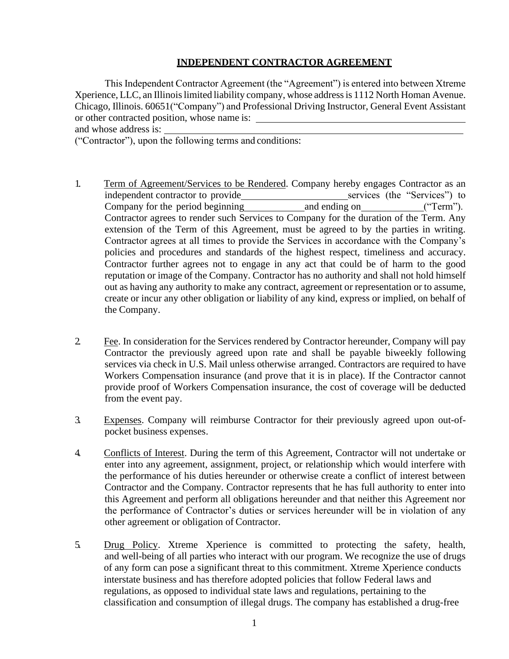## **INDEPENDENT CONTRACTOR AGREEMENT**

This Independent Contractor Agreement (the "Agreement") is entered into between Xtreme Xperience, LLC, an Illinois limited liability company, whose address is 1112 North Homan Avenue. Chicago, Illinois. 60651("Company") and Professional Driving Instructor, General Event Assistant or other contracted position, whose name is:

and whose address is:

("Contractor"), upon the following terms and conditions:

- 1. Term of Agreement/Services to be Rendered. Company hereby engages Contractor as an independent contractor to provide<br>
Company for the period beginning<br>
and ending on<br>
("Term"). Company for the period beginning and ending on ("Term"). Contractor agrees to render such Services to Company for the duration of the Term. Any extension of the Term of this Agreement, must be agreed to by the parties in writing. Contractor agrees at all times to provide the Services in accordance with the Company's policies and procedures and standards of the highest respect, timeliness and accuracy. Contractor further agrees not to engage in any act that could be of harm to the good reputation or image of the Company. Contractor has no authority and shall not hold himself out as having any authority to make any contract, agreement or representation or to assume, create or incur any other obligation or liability of any kind, express or implied, on behalf of the Company.
- 2. Fee. In consideration for the Services rendered by Contractor hereunder, Company will pay Contractor the previously agreed upon rate and shall be payable biweekly following services via check in U.S. Mail unless otherwise arranged. Contractors are required to have Workers Compensation insurance (and prove that it is in place). If the Contractor cannot provide proof of Workers Compensation insurance, the cost of coverage will be deducted from the event pay.
- 3. Expenses. Company will reimburse Contractor for their previously agreed upon out-ofpocket business expenses.
- 4. Conflicts of Interest. During the term of this Agreement, Contractor will not undertake or enter into any agreement, assignment, project, or relationship which would interfere with the performance of his duties hereunder or otherwise create a conflict of interest between Contractor and the Company. Contractor represents that he has full authority to enter into this Agreement and perform all obligations hereunder and that neither this Agreement nor the performance of Contractor's duties or services hereunder will be in violation of any other agreement or obligation of Contractor.
- 5. Drug Policy. Xtreme Xperience is committed to protecting the safety, health, and well-being of all parties who interact with our program. We recognize the use of drugs of any form can pose a significant threat to this commitment. Xtreme Xperience conducts interstate business and has therefore adopted policies that follow Federal laws and regulations, as opposed to individual state laws and regulations, pertaining to the classification and consumption of illegal drugs. The company has established a drug-free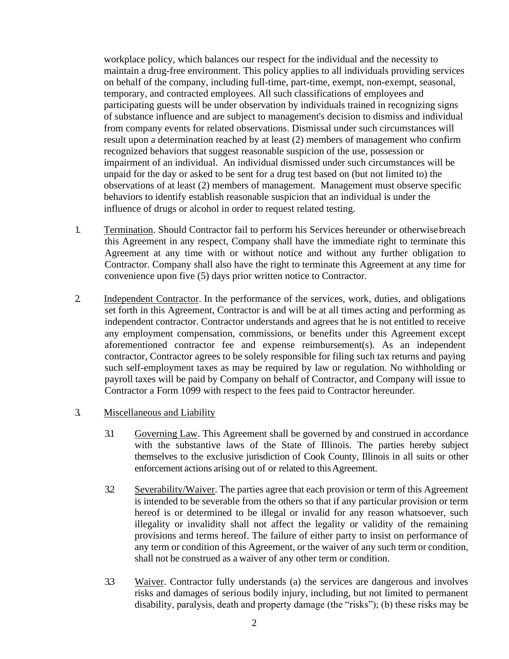workplace policy, which balances our respect for the individual and the necessity to maintain a drug-free environment. This policy applies to all individuals providing services on behalf of the company, including full-time, part-time, exempt, non-exempt, seasonal, temporary, and contracted employees. All such classifications of employees and participating guests will be under observation by individuals trained in recognizing signs of substance influence and are subject to management's decision to dismiss and individual from company events for related observations. Dismissal under such circumstances will result upon a determination reached by at least (2) members of management who confirm recognized behaviors that suggest reasonable suspicion of the use, possession or impairment of an individual. An individual dismissed under such circumstances will be unpaid for the day or asked to be sent for a drug test based on (but not limited to) the observations of at least (2) members of management. Management must observe specific behaviors to identify establish reasonable suspicion that an individual is under the influence of drugs or alcohol in order to request related testing.

- 1. Termination. Should Contractor fail to perform his Services hereunder or otherwisebreach this Agreement in any respect, Company shall have the immediate right to terminate this Agreement at any time with or without notice and without any further obligation to Contractor. Company shall also have the right to terminate this Agreement at any time for convenience upon five (5) days prior written notice to Contractor.
- 2. Independent Contractor. In the performance of the services, work, duties, and obligations set forth in this Agreement, Contractor is and will be at all times acting and performing as independent contractor. Contractor understands and agrees that he is not entitled to receive any employment compensation, commissions, or benefits under this Agreement except aforementioned contractor fee and expense reimbursement(s). As an independent contractor, Contractor agrees to be solely responsible for filing such tax returns and paying such self-employment taxes as may be required by law or regulation. No withholding or payroll taxes will be paid by Company on behalf of Contractor, and Company will issue to Contractor a Form 1099 with respect to the fees paid to Contractor hereunder.
- 3. Miscellaneous and Liability
	- 3.1 Governing Law. This Agreement shall be governed by and construed in accordance with the substantive laws of the State of Illinois. The parties hereby subject themselves to the exclusive jurisdiction of Cook County, Illinois in all suits or other enforcement actions arising out of or related to this Agreement.
	- 3.2 Severability/Waiver. The parties agree that each provision or term of this Agreement is intended to be severable from the others so that if any particular provision or term hereof is or determined to be illegal or invalid for any reason whatsoever, such illegality or invalidity shall not affect the legality or validity of the remaining provisions and terms hereof. The failure of either party to insist on performance of any term or condition of this Agreement, or the waiver of any such term or condition, shall not be construed as a waiver of any other term or condition.
	- 3.3 Waiver. Contractor fully understands (a) the services are dangerous and involves risks and damages of serious bodily injury, including, but not limited to permanent disability, paralysis, death and property damage (the "risks"); (b) these risks may be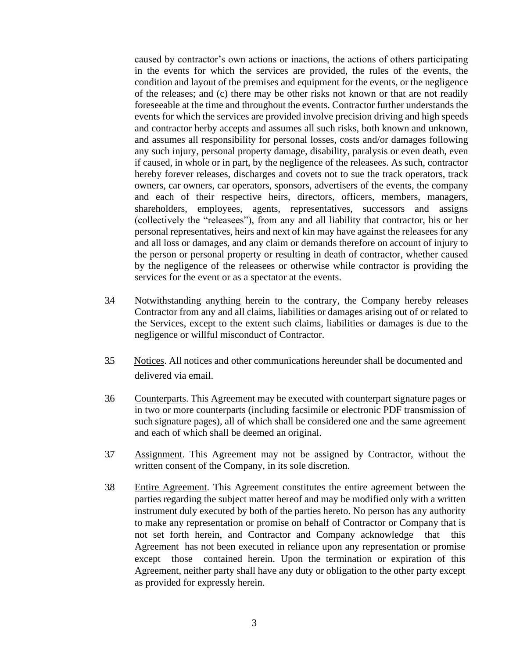caused by contractor's own actions or inactions, the actions of others participating in the events for which the services are provided, the rules of the events, the condition and layout of the premises and equipment for the events, or the negligence of the releases; and (c) there may be other risks not known or that are not readily foreseeable at the time and throughout the events. Contractor further understands the events for which the services are provided involve precision driving and high speeds and contractor herby accepts and assumes all such risks, both known and unknown, and assumes all responsibility for personal losses, costs and/or damages following any such injury, personal property damage, disability, paralysis or even death, even if caused, in whole or in part, by the negligence of the releasees. As such, contractor hereby forever releases, discharges and covets not to sue the track operators, track owners, car owners, car operators, sponsors, advertisers of the events, the company and each of their respective heirs, directors, officers, members, managers, shareholders, employees, agents, representatives, successors and assigns (collectively the "releasees"), from any and all liability that contractor, his or her personal representatives, heirs and next of kin may have against the releasees for any and all loss or damages, and any claim or demands therefore on account of injury to the person or personal property or resulting in death of contractor, whether caused by the negligence of the releasees or otherwise while contractor is providing the services for the event or as a spectator at the events.

- 3.4 Notwithstanding anything herein to the contrary, the Company hereby releases Contractor from any and all claims, liabilities or damages arising out of or related to the Services, except to the extent such claims, liabilities or damages is due to the negligence or willful misconduct of Contractor.
- 3.5 Notices. All notices and other communications hereunder shall be documented and delivered via email.
- 3.6 Counterparts. This Agreement may be executed with counterpart signature pages or in two or more counterparts (including facsimile or electronic PDF transmission of such signature pages), all of which shall be considered one and the same agreement and each of which shall be deemed an original.
- 3.7 Assignment. This Agreement may not be assigned by Contractor, without the written consent of the Company, in its sole discretion.
- 3.8 Entire Agreement. This Agreement constitutes the entire agreement between the parties regarding the subject matter hereof and may be modified only with a written instrument duly executed by both of the parties hereto. No person has any authority to make any representation or promise on behalf of Contractor or Company that is not set forth herein, and Contractor and Company acknowledge that this Agreement has not been executed in reliance upon any representation or promise except those contained herein. Upon the termination or expiration of this Agreement, neither party shall have any duty or obligation to the other party except as provided for expressly herein.